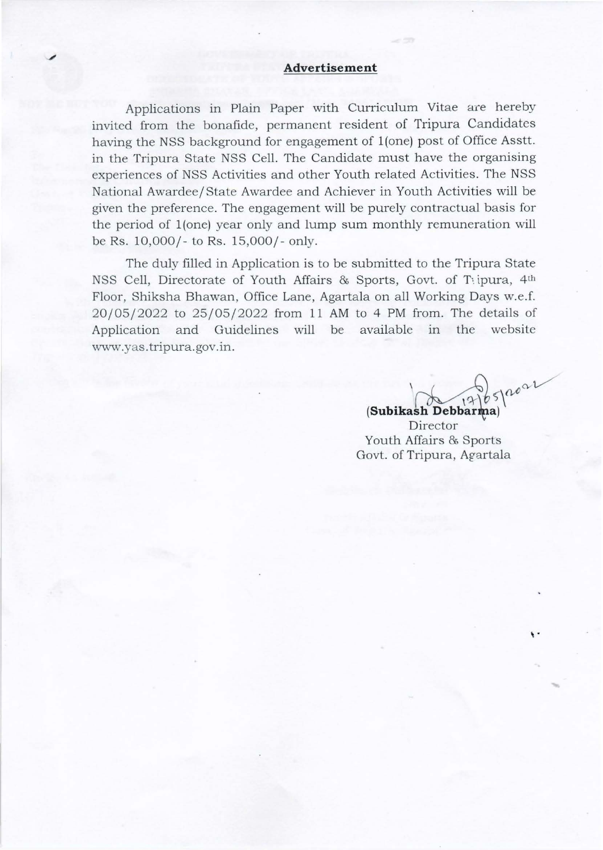## **Advertisement**

Applications in Plain Paper with Curriculum Vitae are hereby invited from the bonafide, permanent resident of Tripura Candidates having the NSS background for engagement of 1(one) post of Office Asstt. in the Tripura State NSS Cell. The Candidate must have the organising experiences of NSS Activities and other Youth related Activities. The NSS National Awardee/ State Awardee and Achiever in Youth Activities will be given the preference. The engagement will be purely contractual basis for the period of 1(one) year only and lump sum monthly remuneration will be Rs. 10,000/- to Rs. 15,000/- only.

The duly filled in Application is to be submitted to the Tripura State NSS Cell, Directorate of Youth Affairs & Sports, Govt. of Tipura, 4th Floor, Shiksha Bhawan, Office Lane, Agartala on all Working Days w.e.f. 20/05/2022 to 25/05/2022 from 11 AM to 4 PM from. The details of Application and Guidelines will be available in the website www.yas.tripura.gov.in.

 $(365)$   $(2001)$ ~~ bS'\ **(Subikash** Debbar )

' .

Director Youth Affairs & Sports Govt. of Tripura, Agartala